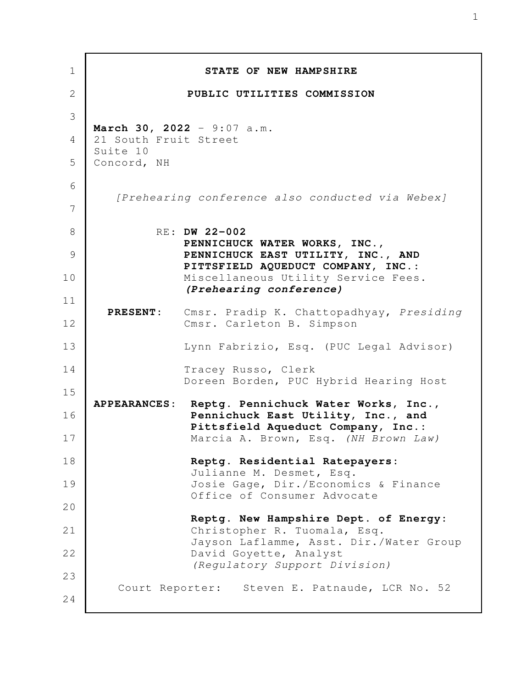| $\mathbf 1$  |                         | STATE OF NEW HAMPSHIRE                                                                               |
|--------------|-------------------------|------------------------------------------------------------------------------------------------------|
| $\mathbf{2}$ |                         | PUBLIC UTILITIES COMMISSION                                                                          |
| 3            |                         |                                                                                                      |
| 4            | 21 South Fruit Street   | March 30, 2022 - $9:07$ a.m.                                                                         |
| 5            | Suite 10<br>Concord, NH |                                                                                                      |
| 6            |                         | [Prehearing conference also conducted via Webex]                                                     |
| 7            |                         |                                                                                                      |
| 8            |                         | RE: DW 22-002                                                                                        |
| 9            |                         | PENNICHUCK WATER WORKS, INC.,<br>PENNICHUCK EAST UTILITY, INC., AND                                  |
| 10           |                         | PITTSFIELD AQUEDUCT COMPANY, INC.:<br>Miscellaneous Utility Service Fees.<br>(Prehearing conference) |
| 11           | <b>PRESENT:</b>         | Cmsr. Pradip K. Chattopadhyay, Presiding                                                             |
| 12           |                         | Cmsr. Carleton B. Simpson                                                                            |
| 13           |                         | Lynn Fabrizio, Esq. (PUC Legal Advisor)                                                              |
| 14           |                         | Tracey Russo, Clerk<br>Doreen Borden, PUC Hybrid Hearing Host                                        |
| 15<br>16     | <b>APPEARANCES:</b>     | Reptg. Pennichuck Water Works, Inc.,<br>Pennichuck East Utility, Inc., and                           |
| 17           |                         | Pittsfield Aqueduct Company, Inc.:<br>Marcia A. Brown, Esq. (NH Brown Law)                           |
| 18           |                         | Reptg. Residential Ratepayers:                                                                       |
| 19           |                         | Julianne M. Desmet, Esq.<br>Josie Gage, Dir./Economics & Finance<br>Office of Consumer Advocate      |
| 20           |                         | Reptg. New Hampshire Dept. of Energy:                                                                |
| 21           |                         | Christopher R. Tuomala, Esq.                                                                         |
| 22           |                         | Jayson Laflamme, Asst. Dir./Water Group<br>David Goyette, Analyst                                    |
| 23           |                         | (Regulatory Support Division)                                                                        |
| 24           |                         | Court Reporter: Steven E. Patnaude, LCR No. 52                                                       |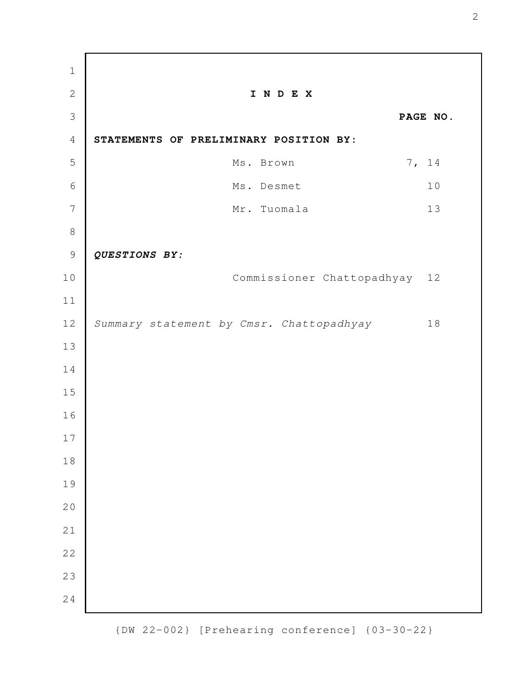**I N D E X PAGE NO. STATEMENTS OF PRELIMINARY POSITION BY:**  Ms. Brown 7, 14 Ms. Desmet 10 Mr. Tuomala 13 *QUESTIONS BY:* Commissioner Chattopadhyay 12 Summary statement by Cmsr. Chattopadhyay 18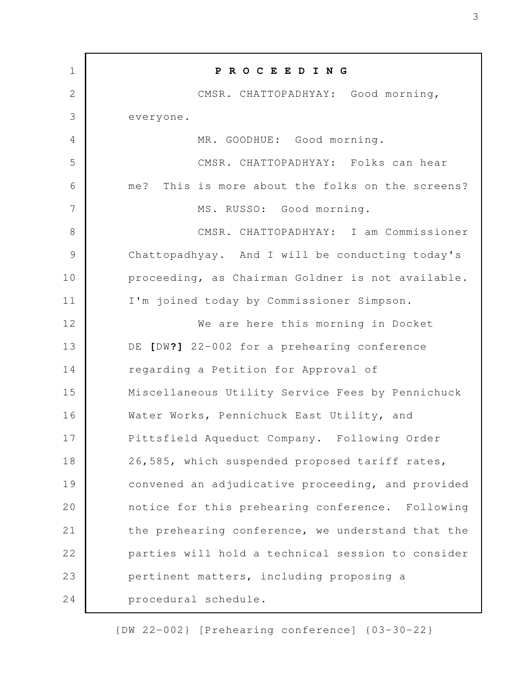| $\mathbf 1$ | PROCEEDING                                        |
|-------------|---------------------------------------------------|
| $\mathbf 2$ | CMSR. CHATTOPADHYAY: Good morning,                |
| 3           | everyone.                                         |
| 4           | MR. GOODHUE: Good morning.                        |
| 5           | CMSR. CHATTOPADHYAY: Folks can hear               |
| 6           | me? This is more about the folks on the screens?  |
| 7           | MS. RUSSO: Good morning.                          |
| $8\,$       | CMSR. CHATTOPADHYAY: I am Commissioner            |
| 9           | Chattopadhyay. And I will be conducting today's   |
| 10          | proceeding, as Chairman Goldner is not available. |
| 11          | I'm joined today by Commissioner Simpson.         |
| 12          | We are here this morning in Docket                |
| 13          | DE [DW?] 22-002 for a prehearing conference       |
| 14          | regarding a Petition for Approval of              |
| 15          | Miscellaneous Utility Service Fees by Pennichuck  |
| 16          | Water Works, Pennichuck East Utility, and         |
| 17          | Pittsfield Aqueduct Company. Following Order      |
| 18          | 26,585, which suspended proposed tariff rates,    |
| 19          | convened an adjudicative proceeding, and provided |
| 20          | notice for this prehearing conference. Following  |
| 21          | the prehearing conference, we understand that the |
| 22          | parties will hold a technical session to consider |
| 23          | pertinent matters, including proposing a          |
| 24          | procedural schedule.                              |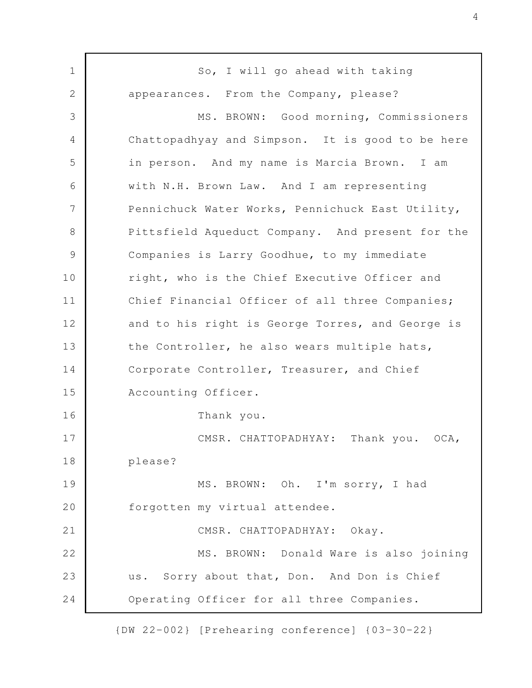So, I will go ahead with taking appearances. From the Company, please? MS. BROWN: Good morning, Commissioners Chattopadhyay and Simpson. It is good to be here in person. And my name is Marcia Brown. I am with N.H. Brown Law. And I am representing Pennichuck Water Works, Pennichuck East Utility, Pittsfield Aqueduct Company. And present for the Companies is Larry Goodhue, to my immediate right, who is the Chief Executive Officer and Chief Financial Officer of all three Companies; and to his right is George Torres, and George is the Controller, he also wears multiple hats, Corporate Controller, Treasurer, and Chief Accounting Officer. Thank you. CMSR. CHATTOPADHYAY: Thank you. OCA, please? MS. BROWN: Oh. I'm sorry, I had forgotten my virtual attendee. CMSR. CHATTOPADHYAY: Okay. MS. BROWN: Donald Ware is also joining us. Sorry about that, Don. And Don is Chief Operating Officer for all three Companies. 1 2 3 4 5 6 7 8 9 10 11 12 13 14 15 16 17 18 19 20 21 22 23 24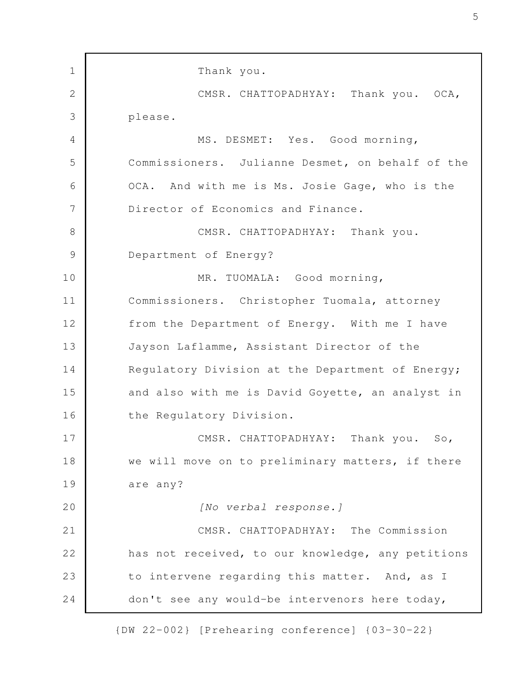Thank you. CMSR. CHATTOPADHYAY: Thank you. OCA, please. MS. DESMET: Yes. Good morning, Commissioners. Julianne Desmet, on behalf of the OCA. And with me is Ms. Josie Gage, who is the Director of Economics and Finance. CMSR. CHATTOPADHYAY: Thank you. Department of Energy? MR. TUOMALA: Good morning, Commissioners. Christopher Tuomala, attorney from the Department of Energy. With me I have Jayson Laflamme, Assistant Director of the Regulatory Division at the Department of Energy; and also with me is David Goyette, an analyst in the Regulatory Division. CMSR. CHATTOPADHYAY: Thank you. So, we will move on to preliminary matters, if there are any? [No verbal response.] CMSR. CHATTOPADHYAY: The Commission has not received, to our knowledge, any petitions to intervene regarding this matter. And, as I don't see any would-be intervenors here today, 1 2 3 4 5 6 7 8 9 10 11 12 13 14 15 16 17 18 19 20 21 22 23 24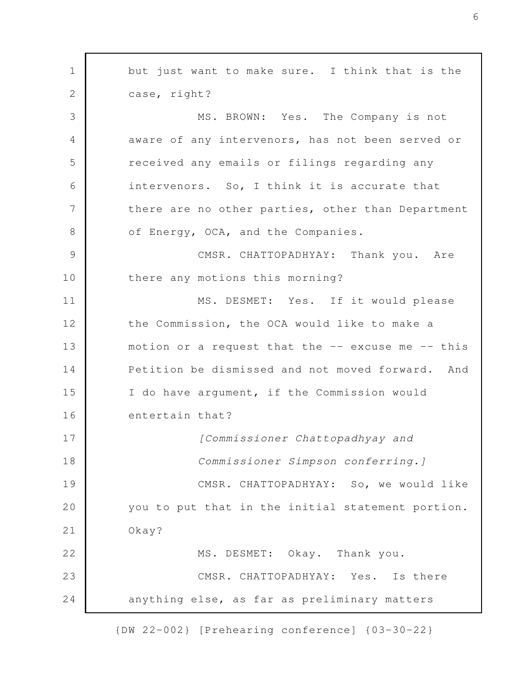but just want to make sure. I think that is the case, right? MS. BROWN: Yes. The Company is not aware of any intervenors, has not been served or received any emails or filings regarding any intervenors. So, I think it is accurate that there are no other parties, other than Department of Energy, OCA, and the Companies. CMSR. CHATTOPADHYAY: Thank you. Are there any motions this morning? MS. DESMET: Yes. If it would please the Commission, the OCA would like to make a motion or a request that the  $--$  excuse me  $--$  this Petition be dismissed and not moved forward. And I do have argument, if the Commission would entertain that? [Commissioner Chattopadhyay and Commissioner Simpson conferring.] CMSR. CHATTOPADHYAY: So, we would like you to put that in the initial statement portion. Okay? MS. DESMET: Okay. Thank you. CMSR. CHATTOPADHYAY: Yes. Is there anything else, as far as preliminary matters 1 2 3 4 5 6 7 8 9 10 11 12 13 14 15 16 17 18 19 20 21 22 23 24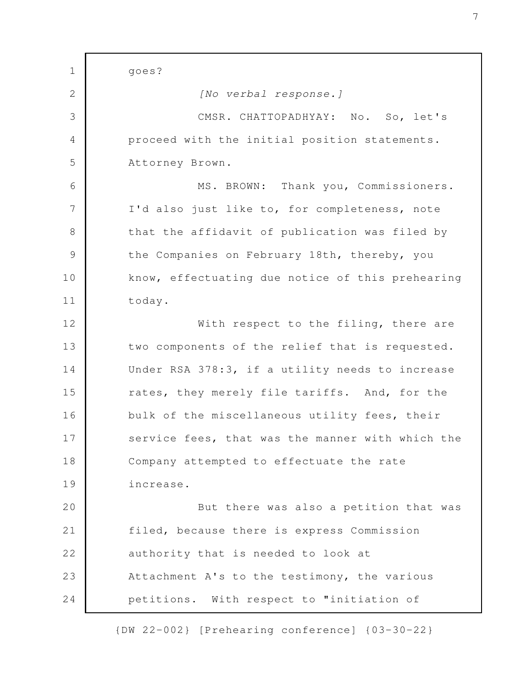goes? [No verbal response.] CMSR. CHATTOPADHYAY: No. So, let's proceed with the initial position statements. Attorney Brown. MS. BROWN: Thank you, Commissioners. I'd also just like to, for completeness, note that the affidavit of publication was filed by the Companies on February 18th, thereby, you know, effectuating due notice of this prehearing today. With respect to the filing, there are two components of the relief that is requested. Under RSA 378:3, if a utility needs to increase rates, they merely file tariffs. And, for the bulk of the miscellaneous utility fees, their service fees, that was the manner with which the Company attempted to effectuate the rate increase. But there was also a petition that was filed, because there is express Commission authority that is needed to look at Attachment A's to the testimony, the various petitions. With respect to "initiation of 1 2 3 4 5 6 7 8 9 10 11 12 13 14 15 16 17 18 19 20 21 22 23 24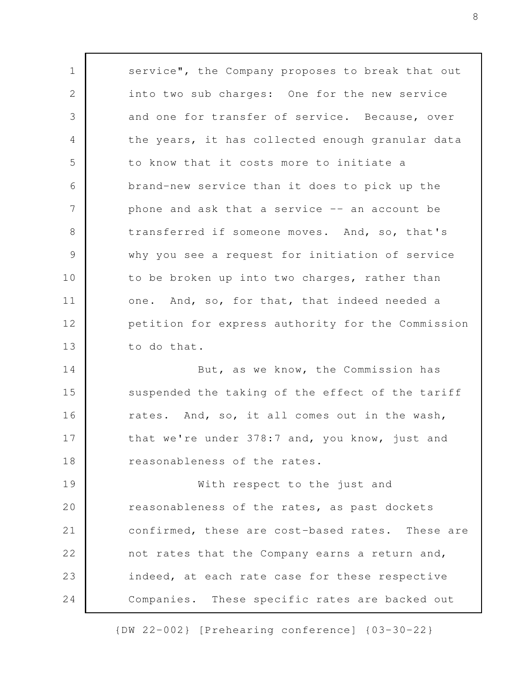service", the Company proposes to break that out into two sub charges: One for the new service and one for transfer of service. Because, over the years, it has collected enough granular data to know that it costs more to initiate a brand-new service than it does to pick up the phone and ask that a service  $-$  an account be transferred if someone moves. And, so, that's why you see a request for initiation of service to be broken up into two charges, rather than one. And, so, for that, that indeed needed a petition for express authority for the Commission to do that. But, as we know, the Commission has suspended the taking of the effect of the tariff rates. And, so, it all comes out in the wash, that we're under 378:7 and, you know, just and reasonableness of the rates. With respect to the just and reasonableness of the rates, as past dockets confirmed, these are cost-based rates. These are not rates that the Company earns a return and, indeed, at each rate case for these respective Companies. These specific rates are backed out 1 2 3 4 5 6 7 8 9 10 11 12 13 14 15 16 17 18 19 20 21 22 23 24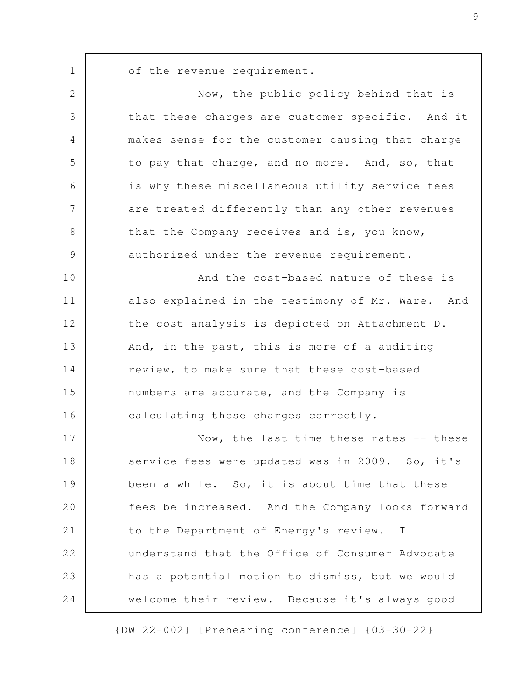of the revenue requirement.

1

| $\mathbf{2}$   | Now, the public policy behind that is            |
|----------------|--------------------------------------------------|
| 3              | that these charges are customer-specific. And it |
| $\overline{4}$ | makes sense for the customer causing that charge |
| 5              | to pay that charge, and no more. And, so, that   |
| 6              | is why these miscellaneous utility service fees  |
| 7              | are treated differently than any other revenues  |
| $8\,$          | that the Company receives and is, you know,      |
| $\mathcal{G}$  | authorized under the revenue requirement.        |
| 10             | And the cost-based nature of these is            |
| 11             | also explained in the testimony of Mr. Ware. And |
| 12             | the cost analysis is depicted on Attachment D.   |
| 13             | And, in the past, this is more of a auditing     |
| 14             | review, to make sure that these cost-based       |
| 15             | numbers are accurate, and the Company is         |
| 16             | calculating these charges correctly.             |
| 17             | Now, the last time these rates -- these          |
| 18             | service fees were updated was in 2009. So, it's  |
| 19             | been a while. So, it is about time that these    |
| 20             | fees be increased. And the Company looks forward |
| 21             | to the Department of Energy's review. I          |
| 22             | understand that the Office of Consumer Advocate  |
| 23             | has a potential motion to dismiss, but we would  |
| 24             | welcome their review. Because it's always good   |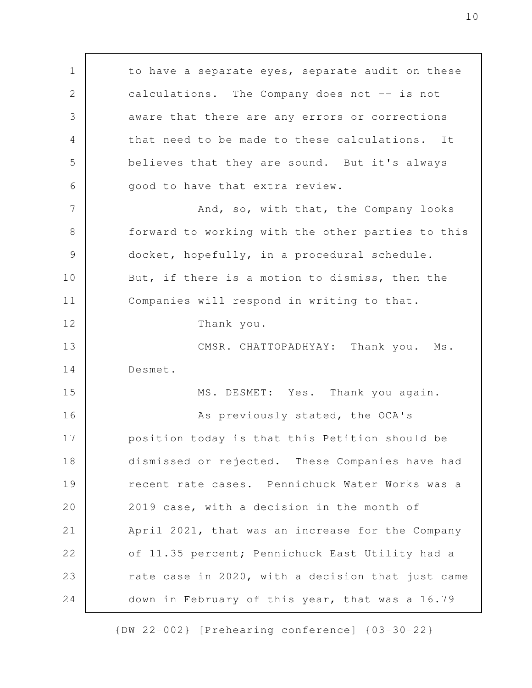to have a separate eyes, separate audit on these calculations. The Company does not -- is not aware that there are any errors or corrections that need to be made to these calculations. It believes that they are sound. But it's always good to have that extra review. And, so, with that, the Company looks forward to working with the other parties to this docket, hopefully, in a procedural schedule. But, if there is a motion to dismiss, then the Companies will respond in writing to that. Thank you. CMSR. CHATTOPADHYAY: Thank you. Ms. Desmet. MS. DESMET: Yes. Thank you again. As previously stated, the OCA's position today is that this Petition should be dismissed or rejected. These Companies have had recent rate cases. Pennichuck Water Works was a 2019 case, with a decision in the month of April 2021, that was an increase for the Company of 11.35 percent; Pennichuck East Utility had a rate case in 2020, with a decision that just came down in February of this year, that was a 16.79 1 2 3 4 5 6 7 8 9 10 11 12 13 14 15 16 17 18 19 20 21 22 23 24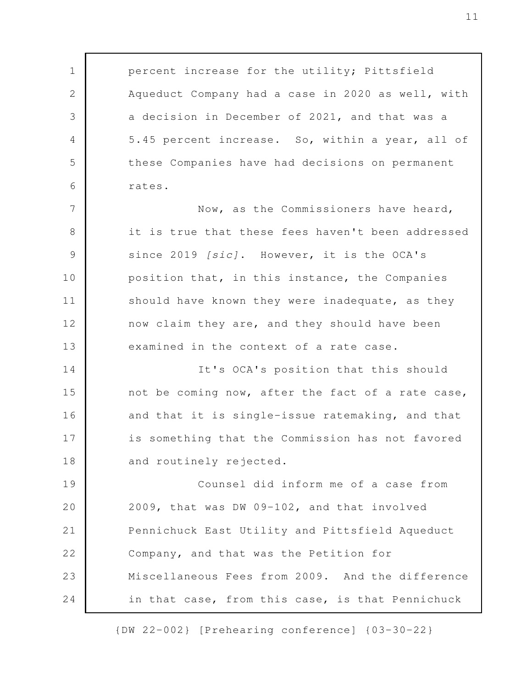percent increase for the utility; Pittsfield Aqueduct Company had a case in 2020 as well, with a decision in December of 2021, and that was a 5.45 percent increase. So, within a year, all of these Companies have had decisions on permanent rates.

1

2

3

4

5

6

Now, as the Commissioners have heard, it is true that these fees haven't been addressed since 2019 [sic]. However, it is the OCA's position that, in this instance, the Companies should have known they were inadequate, as they now claim they are, and they should have been examined in the context of a rate case. 7 8 9 10 11 12 13

It's OCA's position that this should not be coming now, after the fact of a rate case, and that it is single-issue ratemaking, and that is something that the Commission has not favored and routinely rejected. 14 15 16 17 18

Counsel did inform me of a case from 2009, that was DW 09-102, and that involved Pennichuck East Utility and Pittsfield Aqueduct Company, and that was the Petition for Miscellaneous Fees from 2009. And the difference in that case, from this case, is that Pennichuck 19 20 21 22 23 24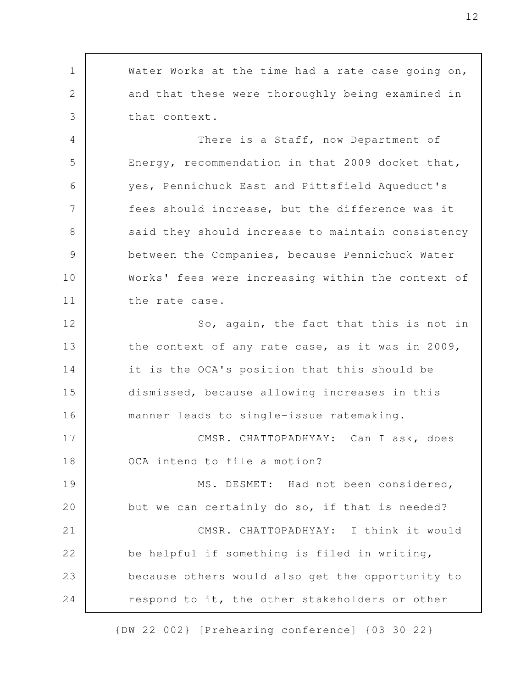Water Works at the time had a rate case going on, and that these were thoroughly being examined in that context. There is a Staff, now Department of Energy, recommendation in that 2009 docket that, yes, Pennichuck East and Pittsfield Aqueduct's fees should increase, but the difference was it said they should increase to maintain consistency between the Companies, because Pennichuck Water Works' fees were increasing within the context of the rate case. So, again, the fact that this is not in the context of any rate case, as it was in 2009, it is the OCA's position that this should be dismissed, because allowing increases in this manner leads to single-issue ratemaking. CMSR. CHATTOPADHYAY: Can I ask, does OCA intend to file a motion? MS. DESMET: Had not been considered, but we can certainly do so, if that is needed? CMSR. CHATTOPADHYAY: I think it would be helpful if something is filed in writing, because others would also get the opportunity to respond to it, the other stakeholders or other 1 2 3 4 5 6 7 8 9 10 11 12 13 14 15 16 17 18 19 20 21 22 23 24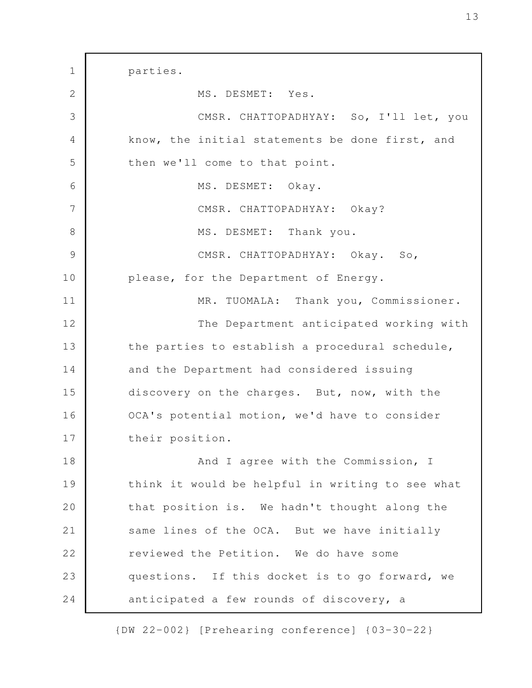parties. MS. DESMET: Yes. CMSR. CHATTOPADHYAY: So, I'll let, you know, the initial statements be done first, and then we'll come to that point. MS. DESMET: Okay. CMSR. CHATTOPADHYAY: Okay? MS. DESMET: Thank you. CMSR. CHATTOPADHYAY: Okay. So, please, for the Department of Energy. MR. TUOMALA: Thank you, Commissioner. The Department anticipated working with the parties to establish a procedural schedule, and the Department had considered issuing discovery on the charges. But, now, with the OCA's potential motion, we'd have to consider their position. And I agree with the Commission, I think it would be helpful in writing to see what that position is. We hadn't thought along the same lines of the OCA. But we have initially reviewed the Petition. We do have some questions. If this docket is to go forward, we anticipated a few rounds of discovery, a 1 2 3 4 5 6 7 8 9 10 11 12 13 14 15 16 17 18 19 20 21 22 23 24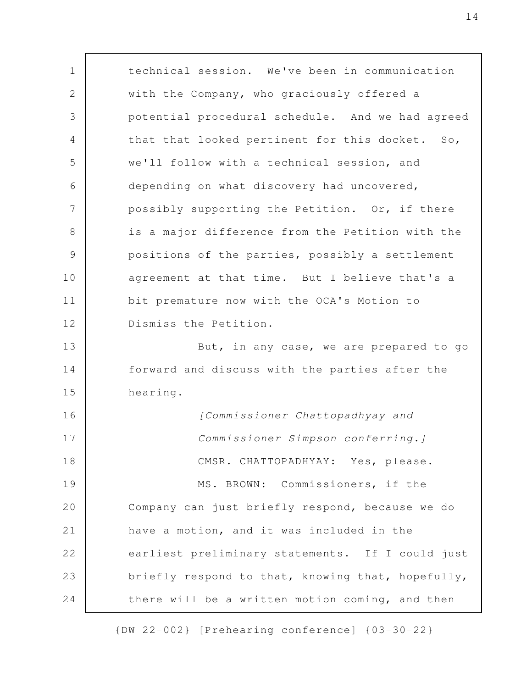technical session. We've been in communication with the Company, who graciously offered a potential procedural schedule. And we had agreed that that looked pertinent for this docket. So, we'll follow with a technical session, and depending on what discovery had uncovered, possibly supporting the Petition. Or, if there is a major difference from the Petition with the positions of the parties, possibly a settlement agreement at that time. But I believe that's a bit premature now with the OCA's Motion to Dismiss the Petition. But, in any case, we are prepared to go forward and discuss with the parties after the hearing. [Commissioner Chattopadhyay and Commissioner Simpson conferring.] CMSR. CHATTOPADHYAY: Yes, please. MS. BROWN: Commissioners, if the Company can just briefly respond, because we do have a motion, and it was included in the earliest preliminary statements. If I could just briefly respond to that, knowing that, hopefully, there will be a written motion coming, and then 1 2 3 4 5 6 7 8 9 10 11 12 13 14 15 16 17 18 19 20 21 22 23 24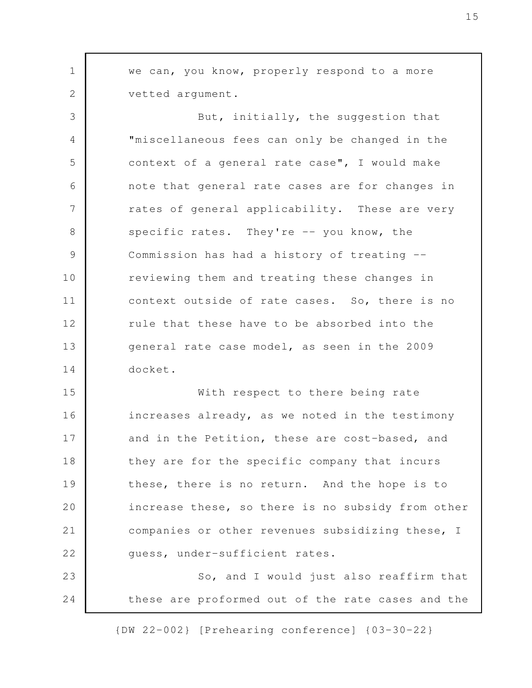we can, you know, properly respond to a more vetted argument. But, initially, the suggestion that "miscellaneous fees can only be changed in the context of a general rate case", I would make note that general rate cases are for changes in rates of general applicability. These are very specific rates. They're -- you know, the Commission has had a history of treating - reviewing them and treating these changes in context outside of rate cases. So, there is no rule that these have to be absorbed into the general rate case model, as seen in the 2009 docket. With respect to there being rate increases already, as we noted in the testimony and in the Petition, these are cost-based, and they are for the specific company that incurs these, there is no return. And the hope is to increase these, so there is no subsidy from other companies or other revenues subsidizing these, I guess, under-sufficient rates. So, and I would just also reaffirm that these are proformed out of the rate cases and the 1 2 3 4 5 6 7 8 9 10 11 12 13 14 15 16 17 18 19 20 21 22 23 24

{DW 22-002} [Prehearing conference] {03-30-22}

15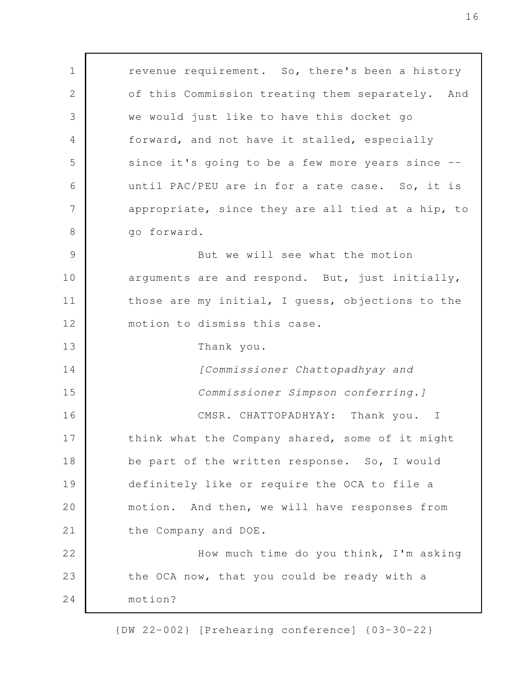revenue requirement. So, there's been a history of this Commission treating them separately. And we would just like to have this docket go forward, and not have it stalled, especially since it's going to be a few more years since - until PAC/PEU are in for a rate case. So, it is appropriate, since they are all tied at a hip, to go forward. But we will see what the motion arguments are and respond. But, just initially, those are my initial, I guess, objections to the motion to dismiss this case. Thank you. [Commissioner Chattopadhyay and Commissioner Simpson conferring.] CMSR. CHATTOPADHYAY: Thank you. I think what the Company shared, some of it might be part of the written response. So, I would definitely like or require the OCA to file a motion. And then, we will have responses from the Company and DOE. How much time do you think, I'm asking the OCA now, that you could be ready with a motion? 1 2 3 4 5 6 7 8 9 10 11 12 13 14 15 16 17 18 19 20 21 22 23 24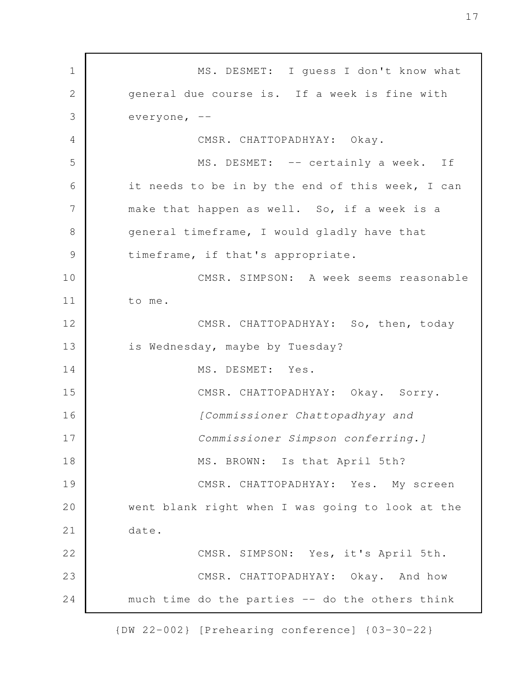MS. DESMET: I guess I don't know what general due course is. If a week is fine with everyone, -- CMSR. CHATTOPADHYAY: Okay. MS. DESMET: -- certainly a week. If it needs to be in by the end of this week, I can make that happen as well. So, if a week is a general timeframe, I would gladly have that timeframe, if that's appropriate. CMSR. SIMPSON: A week seems reasonable to me. CMSR. CHATTOPADHYAY: So, then, today is Wednesday, maybe by Tuesday? MS. DESMET: Yes. CMSR. CHATTOPADHYAY: Okay. Sorry. [Commissioner Chattopadhyay and Commissioner Simpson conferring.] MS. BROWN: Is that April 5th? CMSR. CHATTOPADHYAY: Yes. My screen went blank right when I was going to look at the date. CMSR. SIMPSON: Yes, it's April 5th. CMSR. CHATTOPADHYAY: Okay. And how much time do the parties -- do the others think 1 2 3 4 5 6 7 8 9 10 11 12 13 14 15 16 17 18 19 20 21 22 23 24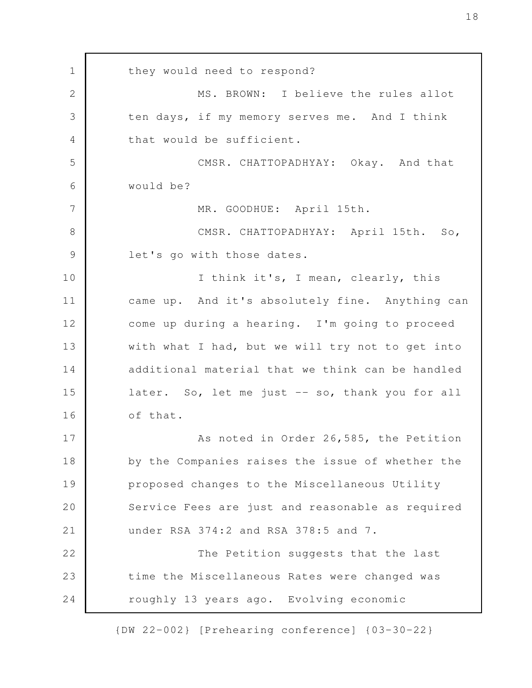they would need to respond? MS. BROWN: I believe the rules allot ten days, if my memory serves me. And I think that would be sufficient. CMSR. CHATTOPADHYAY: Okay. And that would be? MR. GOODHUE: April 15th. CMSR. CHATTOPADHYAY: April 15th. So, let's go with those dates. I think it's, I mean, clearly, this came up. And it's absolutely fine. Anything can come up during a hearing. I'm going to proceed with what I had, but we will try not to get into additional material that we think can be handled later. So, let me just -- so, thank you for all of that. As noted in Order 26,585, the Petition by the Companies raises the issue of whether the proposed changes to the Miscellaneous Utility Service Fees are just and reasonable as required under RSA 374:2 and RSA 378:5 and 7. The Petition suggests that the last time the Miscellaneous Rates were changed was roughly 13 years ago. Evolving economic 1 2 3 4 5 6 7 8 9 10 11 12 13 14 15 16 17 18 19 20 21 22 23 24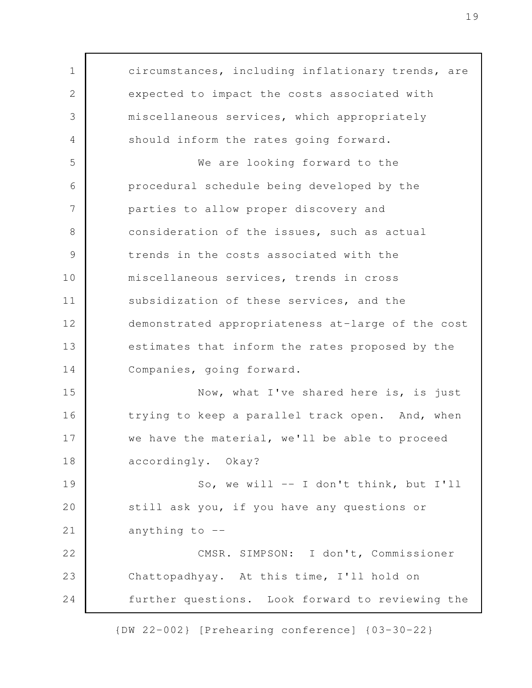circumstances, including inflationary trends, are expected to impact the costs associated with miscellaneous services, which appropriately should inform the rates going forward. We are looking forward to the procedural schedule being developed by the parties to allow proper discovery and consideration of the issues, such as actual trends in the costs associated with the miscellaneous services, trends in cross subsidization of these services, and the demonstrated appropriateness at-large of the cost estimates that inform the rates proposed by the Companies, going forward. Now, what I've shared here is, is just trying to keep a parallel track open. And, when we have the material, we'll be able to proceed accordingly. Okay? So, we will -- I don't think, but I'll still ask you, if you have any questions or anything to  $-$ CMSR. SIMPSON: I don't, Commissioner Chattopadhyay. At this time, I'll hold on further questions. Look forward to reviewing the 1 2 3 4 5 6 7 8 9 10 11 12 13 14 15 16 17 18 19 20 21 22 23 24